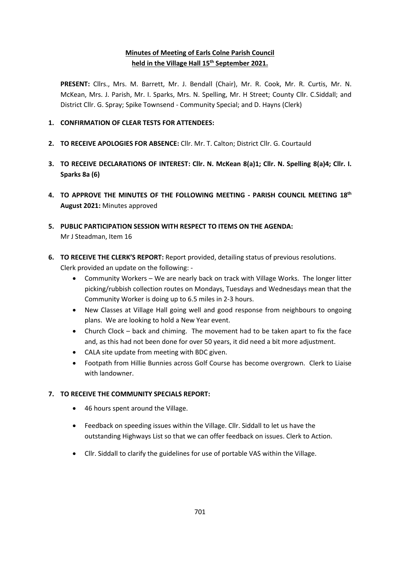## **Minutes of Meeting of Earls Colne Parish Council held in the Village Hall 15th September 2021.**

**PRESENT:** Cllrs., Mrs. M. Barrett, Mr. J. Bendall (Chair), Mr. R. Cook, Mr. R. Curtis, Mr. N. McKean, Mrs. J. Parish, Mr. I. Sparks, Mrs. N. Spelling, Mr. H Street; County Cllr. C.Siddall; and District Cllr. G. Spray; Spike Townsend - Community Special; and D. Hayns (Clerk)

## **1. CONFIRMATION OF CLEAR TESTS FOR ATTENDEES:**

- **2. TO RECEIVE APOLOGIES FOR ABSENCE:** Cllr. Mr. T. Calton; District Cllr. G. Courtauld
- **3. TO RECEIVE DECLARATIONS OF INTEREST: Cllr. N. McKean 8(a)1; Cllr. N. Spelling 8(a)4; Cllr. I. Sparks 8a (6)**
- **4. TO APPROVE THE MINUTES OF THE FOLLOWING MEETING - PARISH COUNCIL MEETING 18th August 2021:** Minutes approved
- **5. PUBLIC PARTICIPATION SESSION WITH RESPECT TO ITEMS ON THE AGENDA:** Mr J Steadman, Item 16
- **6. TO RECEIVE THE CLERK'S REPORT:** Report provided, detailing status of previous resolutions. Clerk provided an update on the following: -
	- Community Workers We are nearly back on track with Village Works. The longer litter picking/rubbish collection routes on Mondays, Tuesdays and Wednesdays mean that the Community Worker is doing up to 6.5 miles in 2-3 hours.
	- New Classes at Village Hall going well and good response from neighbours to ongoing plans. We are looking to hold a New Year event.
	- Church Clock  $-$  back and chiming. The movement had to be taken apart to fix the face and, as this had not been done for over 50 years, it did need a bit more adjustment.
	- CALA site update from meeting with BDC given.
	- Footpath from Hillie Bunnies across Golf Course has become overgrown. Clerk to Liaise with landowner.

## **7. TO RECEIVE THE COMMUNITY SPECIALS REPORT:**

- 46 hours spent around the Village.
- Feedback on speeding issues within the Village. Cllr. Siddall to let us have the outstanding Highways List so that we can offer feedback on issues. Clerk to Action.
- Cllr. Siddall to clarify the guidelines for use of portable VAS within the Village.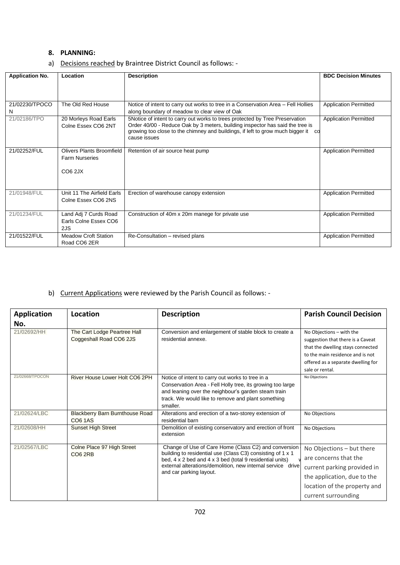### **8. PLANNING:**

|  | a) Decisions reached by Braintree District Council as follows: - |  |  |  |  |
|--|------------------------------------------------------------------|--|--|--|--|
|--|------------------------------------------------------------------|--|--|--|--|

| <b>Application No.</b> | Location                    | <b>Description</b>                                                                | <b>BDC Decision Minutes</b>  |  |  |
|------------------------|-----------------------------|-----------------------------------------------------------------------------------|------------------------------|--|--|
|                        |                             |                                                                                   |                              |  |  |
|                        |                             |                                                                                   |                              |  |  |
|                        |                             |                                                                                   |                              |  |  |
| 21/02230/TPOCO         | The Old Red House           | Notice of intent to carry out works to tree in a Conservation Area – Fell Hollies | <b>Application Permitted</b> |  |  |
| N                      |                             | along boundary of meadow to clear view of Oak                                     |                              |  |  |
| 21/02186/TPO           | 20 Morleys Road Earls       | 5Notice of intent to carry out works to trees protected by Tree Preservation      | <b>Application Permitted</b> |  |  |
|                        | Colne Essex CO6 2NT         | Order 40/00 - Reduce Oak by 3 meters, building inspector has said the tree is     |                              |  |  |
|                        |                             | growing too close to the chimney and buildings, if left to grow much bigger it co |                              |  |  |
|                        |                             | cause issues                                                                      |                              |  |  |
|                        |                             |                                                                                   |                              |  |  |
| 21/02252/FUL           | Olivers Plants Broomfield   | Retention of air source heat pump                                                 | <b>Application Permitted</b> |  |  |
|                        | <b>Farm Nurseries</b>       |                                                                                   |                              |  |  |
|                        |                             |                                                                                   |                              |  |  |
|                        | CO62JX                      |                                                                                   |                              |  |  |
|                        |                             |                                                                                   |                              |  |  |
|                        |                             |                                                                                   |                              |  |  |
| 21/01948/FUL           | Unit 11 The Airfield Earls  | Erection of warehouse canopy extension                                            | <b>Application Permitted</b> |  |  |
|                        | Colne Essex CO6 2NS         |                                                                                   |                              |  |  |
|                        |                             |                                                                                   |                              |  |  |
| 21/01234/FUL           | Land Adj 7 Curds Road       | Construction of 40m x 20m manege for private use                                  | <b>Application Permitted</b> |  |  |
|                        | Earls Colne Essex CO6       |                                                                                   |                              |  |  |
|                        | 2JS                         |                                                                                   |                              |  |  |
| 21/01522/FUL           | <b>Meadow Croft Station</b> | Re-Consultation - revised plans                                                   | <b>Application Permitted</b> |  |  |
|                        |                             |                                                                                   |                              |  |  |
|                        | Road CO6 2ER                |                                                                                   |                              |  |  |

# b) Current Applications were reviewed by the Parish Council as follows: -

| <b>Application</b> | Location                                                 | <b>Description</b>                                                                                                                                                                                                                                                       | <b>Parish Council Decision</b>                                                                                                                                                                  |
|--------------------|----------------------------------------------------------|--------------------------------------------------------------------------------------------------------------------------------------------------------------------------------------------------------------------------------------------------------------------------|-------------------------------------------------------------------------------------------------------------------------------------------------------------------------------------------------|
| No.                |                                                          |                                                                                                                                                                                                                                                                          |                                                                                                                                                                                                 |
| 21/02692/HH        | The Cart Lodge Peartree Hall<br>Coggeshall Road CO6 2JS  | Conversion and enlargement of stable block to create a<br>residential annexe.                                                                                                                                                                                            | No Objections - with the<br>suggestion that there is a Caveat<br>that the dwelling stays connected<br>to the main residence and is not<br>offered as a separate dwelling for<br>sale or rental. |
| 21/02668/TPOCON    | River House Lower Holt CO6 2PH                           | Notice of intent to carry out works to tree in a<br>Conservation Area - Fell Holly tree, its growing too large<br>and leaning over the neighbour's garden steam train<br>track. We would like to remove and plant something<br>smaller.                                  | No Objections                                                                                                                                                                                   |
| 21/02624/LBC       | <b>Blackberry Barn Burnthouse Road</b><br><b>CO6 1AS</b> | Alterations and erection of a two-storey extension of<br>residential barn                                                                                                                                                                                                | No Objections                                                                                                                                                                                   |
| 21/02608/HH        | <b>Sunset High Street</b>                                | Demolition of existing conservatory and erection of front<br>extension                                                                                                                                                                                                   | No Objections                                                                                                                                                                                   |
| 21/02567/LBC       | Colne Place 97 High Street<br>CO <sub>6</sub> 2RB        | Change of Use of Care Home (Class C2) and conversion<br>building to residential use (Class C3) consisting of 1 x 1<br>bed, 4 x 2 bed and 4 x 3 bed (total 9 residential units)<br>external alterations/demolition, new internal service drive<br>and car parking layout. | No Objections - but there<br>are concerns that the<br>current parking provided in<br>the application, due to the<br>location of the property and<br>current surrounding                         |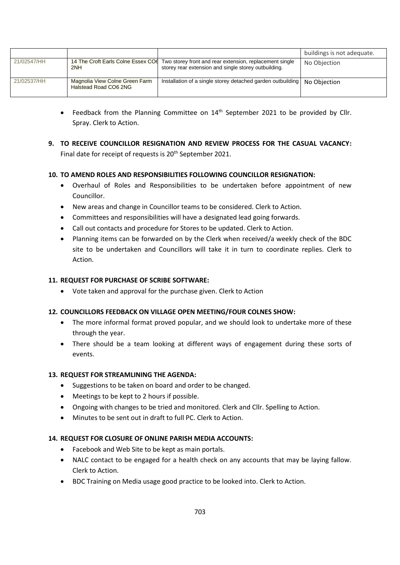|             |                                                         |                                                                                                                                                    | buildings is not adequate. |
|-------------|---------------------------------------------------------|----------------------------------------------------------------------------------------------------------------------------------------------------|----------------------------|
| 21/02547/HH | 2NH                                                     | 14 The Croft Earls Colne Essex CO fTwo storey front and rear extension, replacement single<br>storey rear extension and single storey outbuilding. | No Objection               |
| 21/02537/HH | Magnolia View Colne Green Farm<br>Halstead Road CO6 2NG | Installation of a single storey detached garden outbuilding                                                                                        | No Objection               |

- Feedback from the Planning Committee on 14<sup>th</sup> September 2021 to be provided by Cllr. Spray. Clerk to Action.
- **9. TO RECEIVE COUNCILLOR RESIGNATION AND REVIEW PROCESS FOR THE CASUAL VACANCY:** Final date for receipt of requests is 20<sup>th</sup> September 2021.

## **10. TO AMEND ROLES AND RESPONSIBILITIES FOLLOWING COUNCILLOR RESIGNATION:**

- Overhaul of Roles and Responsibilities to be undertaken before appointment of new Councillor.
- New areas and change in Councillor teams to be considered. Clerk to Action.
- Committees and responsibilities will have a designated lead going forwards.
- Call out contacts and procedure for Stores to be updated. Clerk to Action.
- Planning items can be forwarded on by the Clerk when received/a weekly check of the BDC site to be undertaken and Councillors will take it in turn to coordinate replies. Clerk to Action.

## **11. REQUEST FOR PURCHASE OF SCRIBE SOFTWARE:**

• Vote taken and approval for the purchase given. Clerk to Action

## **12. COUNCILLORS FEEDBACK ON VILLAGE OPEN MEETING/FOUR COLNES SHOW:**

- The more informal format proved popular, and we should look to undertake more of these through the year.
- There should be a team looking at different ways of engagement during these sorts of events.

## **13. REQUEST FOR STREAMLINING THE AGENDA:**

- Suggestions to be taken on board and order to be changed.
- Meetings to be kept to 2 hours if possible.
- Ongoing with changes to be tried and monitored. Clerk and Cllr. Spelling to Action.
- Minutes to be sent out in draft to full PC. Clerk to Action.

## **14. REQUEST FOR CLOSURE OF ONLINE PARISH MEDIA ACCOUNTS:**

- Facebook and Web Site to be kept as main portals.
- NALC contact to be engaged for a health check on any accounts that may be laying fallow. Clerk to Action.
- BDC Training on Media usage good practice to be looked into. Clerk to Action.